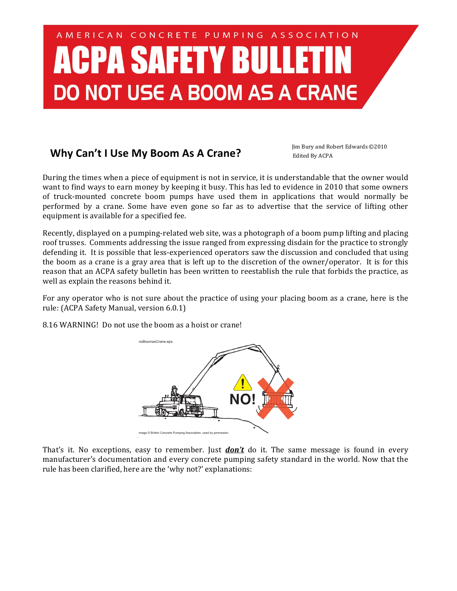## AMERICAN CONCRETE PUMPING ASSOCIATION **CPA SAFETY BULLE DO NOT USE A BOOM AS A CRANE**

## **Why Can't I Use My Boom As A Crane?** Jim Bury and Robert Edwards ©2010

Edited By ACPA

During the times when a piece of equipment is not in service, it is understandable that the owner would want to find ways to earn money by keeping it busy. This has led to evidence in 2010 that some owners of truck-mounted concrete boom pumps have used them in applications that would normally be performed by a crane. Some have even gone so far as to advertise that the service of lifting other equipment is available for a specified fee.

Recently, displayed on a pumping-related web site, was a photograph of a boom pump lifting and placing roof trusses. Comments addressing the issue ranged from expressing disdain for the practice to strongly defending it. It is possible that less-experienced operators saw the discussion and concluded that using the boom as a crane is a gray area that is left up to the discretion of the owner/operator. It is for this reason that an ACPA safety bulletin has been written to reestablish the rule that forbids the practice, as well as explain the reasons behind it.

For any operator who is not sure about the practice of using your placing boom as a crane, here is the rule: (ACPA Safety Manual, version 6.0.1)

8.16 WARNING! Do not use the boom as a hoist or crane!



That's it. No exceptions, easy to remember. Just *don't* do it. The same message is found in every manufacturer's documentation and every concrete pumping safety standard in the world. Now that the rule has been clarified, here are the 'why not?' explanations: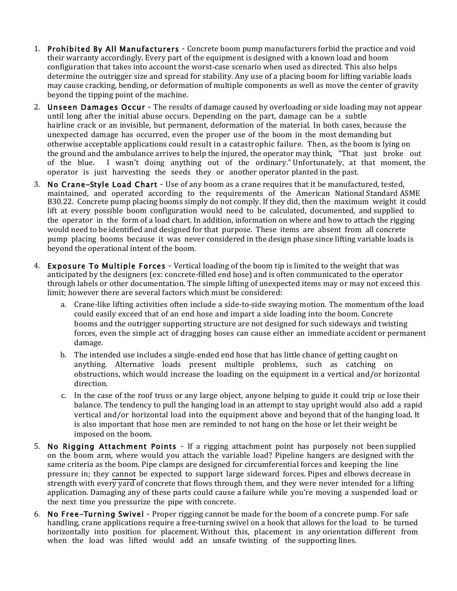- 1. Prohibited By All Manufacturers Concrete boom pump manufacturers forbid the practice and void their warranty accordingly. Every part of the equipment is designed with a known load and boom configuration that takes into account the worst-case scenario when used as directed. This also helps determine the outrigger size and spread for stability. Any use of a placing boom for lifting variable loads may cause cracking, bending, or deformation of multiple components as well as move the center of gravity beyond the tipping point of the machine.
- 2. Unseen Damages Occur The results of damage caused by overloading or side loading may not appear until long after the initial abuse occurs. Depending on the part, damage can be a subtle hairline crack or an invisible, but permanent, deformation of the material. In both cases, because the unexpected damage has occurred, even the proper use of the boom in the most demanding but otherwise acceptable applications could result in a catastrophic failure. Then, as the boom is lying on the ground and the ambulance arrives to help the injured, the operator may think, "That just broke out of the blue. I wasn't doing anything out of the ordinary." Unfortunately, at that moment, the operator is just harvesting the seeds they or another operator planted in the past.
- 3. No Crane-Style Load Chart Use of any boom as a crane requires that it be manufactured, tested, maintained, and operated according to the requirements of the American National Standard ASME B30.22. Concrete pump placing booms simply do not comply. If they did, then the maximum weight it could lift at every possible boom configuration would need to be calculated, documented, and supplied to the operator in the form of a load chart. In addition, information on where and how to attach the rigging would need to be identified and designed for that purpose. These items are absent from all concrete pump placing booms because it was never considered in the design phase since lifting variable loads is beyond the operational intent of the boom.
- 4. Exposure To Multiple Forces Vertical loading of the boom tip is limited to the weight that was anticipated by the designers (ex: concrete-filled end hose) and is often communicated to the operator through labels or other documentation. The simple lifting of unexpected items may or may not exceed this limit; however there are several factors which must be considered:
	- a. Crane-like lifting activities often include a side-to-side swaying motion. The momentum of the load could easily exceed that of an end hose and impart a side loading into the boom. Concrete booms and the outrigger supporting structure are not designed for such sideways and twisting forces, even the simple act of dragging hoses can cause either an immediate accident or permanent damage.
	- b. The intended use includes a single-ended end hose that has little chance of getting caught on anything. Alternative loads present multiple problems, such as catching on obstructions, which would increase the loading on the equipment in a vertical and/or horizontal direction.
	- c. In the case of the roof truss or any large object, anyone helping to guide it could trip or lose their balance. The tendency to pull the hanging load in an attempt to stay upright would also add a rapid vertical and/or horizontal load into the equipment above and beyond that of the hanging load. It is also important that hose men are reminded to not hang on the hose or let their weight be imposed on the boom.
- 5. No Rigging Attachment Points If a rigging attachment point has purposely not been supplied on the boom arm, where would you attach the variable load? Pipeline hangers are designed with the same criteria as the boom. Pipe clamps are designed for circumferential forces and keeping the line pressure in; they cannot be expected to support large sideward forces. Pipes and elbows decrease in strength with every yard of concrete that flows through them, and they were never intended for a lifting application. Damaging any of these parts could cause a failure while you're moving a suspended load or the next time you pressurize the pipe with concrete.
- 6. No Free-Turning Swivel Proper rigging cannot be made for the boom of a concrete pump. For safe handling, crane applications require a free-turning swivel on a hook that allows for the load to be turned horizontally into position for placement. Without this, placement in any orientation different from when the load was lifted would add an unsafe twisting of the supporting lines.